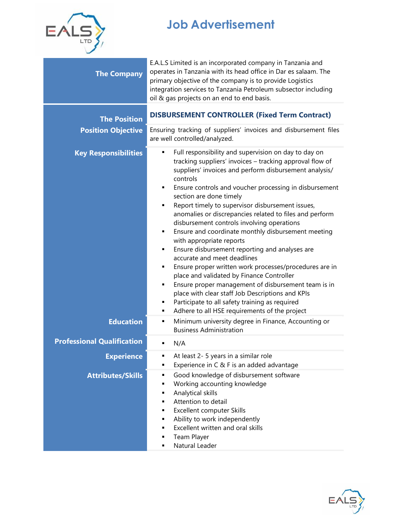

## **Job Advertisement**

| <b>The Company</b>                               | E.A.L.S Limited is an incorporated company in Tanzania and<br>operates in Tanzania with its head office in Dar es salaam. The<br>primary objective of the company is to provide Logistics<br>integration services to Tanzania Petroleum subsector including<br>oil & gas projects on an end to end basis.                                                                                                                                                                                                                                                                                                                                                                                                                                                                                                                                                                                                                                                                     |  |
|--------------------------------------------------|-------------------------------------------------------------------------------------------------------------------------------------------------------------------------------------------------------------------------------------------------------------------------------------------------------------------------------------------------------------------------------------------------------------------------------------------------------------------------------------------------------------------------------------------------------------------------------------------------------------------------------------------------------------------------------------------------------------------------------------------------------------------------------------------------------------------------------------------------------------------------------------------------------------------------------------------------------------------------------|--|
| <b>The Position</b><br><b>Position Objective</b> | <b>DISBURSEMENT CONTROLLER (Fixed Term Contract)</b><br>Ensuring tracking of suppliers' invoices and disbursement files<br>are well controlled/analyzed.                                                                                                                                                                                                                                                                                                                                                                                                                                                                                                                                                                                                                                                                                                                                                                                                                      |  |
| <b>Key Responsibilities</b>                      | Full responsibility and supervision on day to day on<br>٠<br>tracking suppliers' invoices - tracking approval flow of<br>suppliers' invoices and perform disbursement analysis/<br>controls<br>Ensure controls and voucher processing in disbursement<br>٠<br>section are done timely<br>Report timely to supervisor disbursement issues,<br>٠<br>anomalies or discrepancies related to files and perform<br>disbursement controls involving operations<br>Ensure and coordinate monthly disbursement meeting<br>٠<br>with appropriate reports<br>Ensure disbursement reporting and analyses are<br>٠<br>accurate and meet deadlines<br>Ensure proper written work processes/procedures are in<br>٠<br>place and validated by Finance Controller<br>Ensure proper management of disbursement team is in<br>٠<br>place with clear staff Job Descriptions and KPIs<br>Participate to all safety training as required<br>٠<br>Adhere to all HSE requirements of the project<br>٠ |  |
| <b>Education</b>                                 | Minimum university degree in Finance, Accounting or<br>٠<br><b>Business Administration</b>                                                                                                                                                                                                                                                                                                                                                                                                                                                                                                                                                                                                                                                                                                                                                                                                                                                                                    |  |
| <b>Professional Qualification</b>                | N/A                                                                                                                                                                                                                                                                                                                                                                                                                                                                                                                                                                                                                                                                                                                                                                                                                                                                                                                                                                           |  |
| <b>Experience</b>                                | At least 2- 5 years in a similar role<br>Experience in C & F is an added advantage<br>п                                                                                                                                                                                                                                                                                                                                                                                                                                                                                                                                                                                                                                                                                                                                                                                                                                                                                       |  |
| <b>Attributes/Skills</b>                         | Good knowledge of disbursement software<br>٠<br>Working accounting knowledge<br>٠<br>Analytical skills<br>٠<br>Attention to detail<br>٠<br>Excellent computer Skills<br>٠<br>Ability to work independently<br>٠<br>Excellent written and oral skills<br>٠<br>Team Player<br>п<br>Natural Leader<br>٠                                                                                                                                                                                                                                                                                                                                                                                                                                                                                                                                                                                                                                                                          |  |